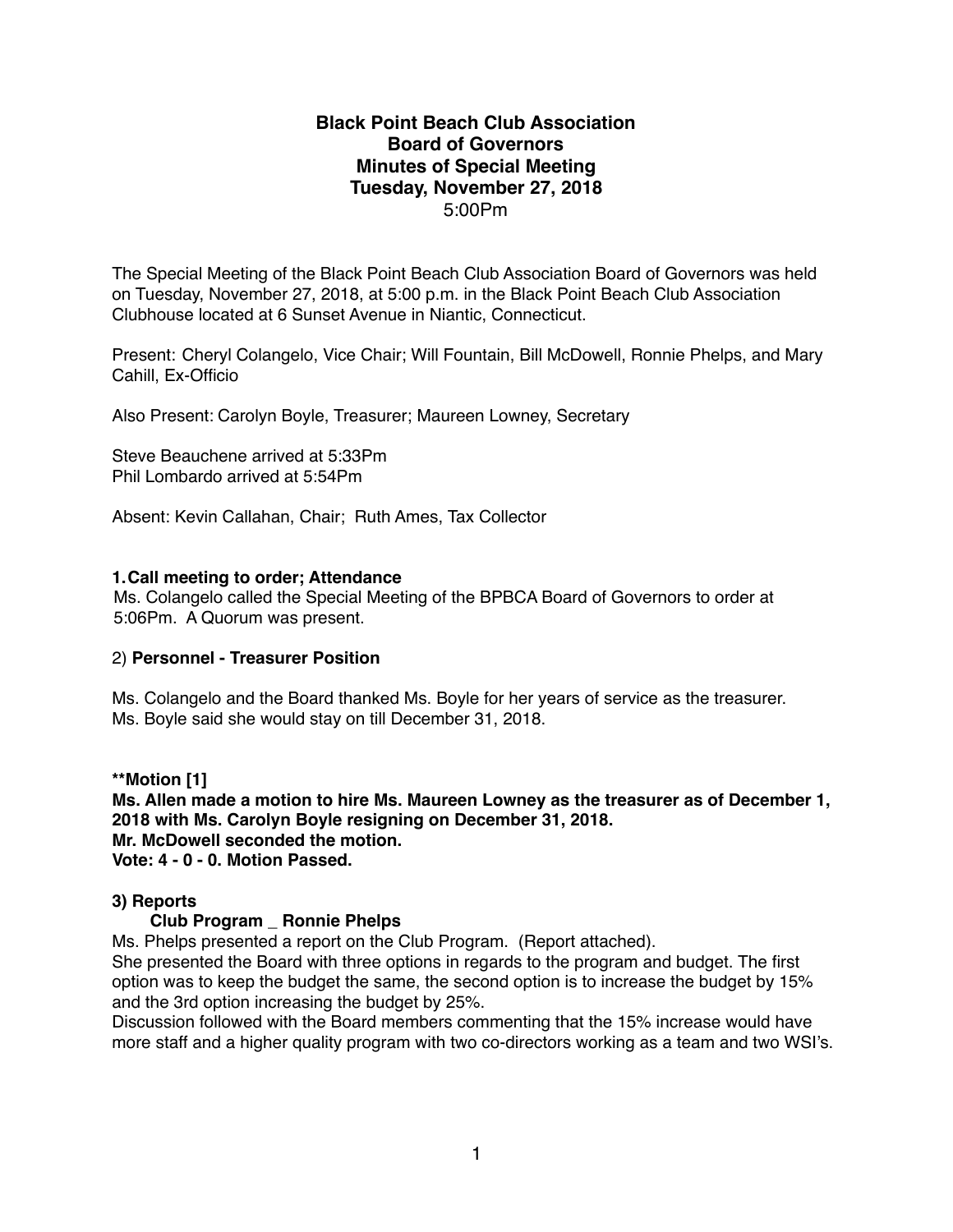### **Black Point Beach Club Association Board of Governors Minutes of Special Meeting Tuesday, November 27, 2018** 5:00Pm

The Special Meeting of the Black Point Beach Club Association Board of Governors was held on Tuesday, November 27, 2018, at 5:00 p.m. in the Black Point Beach Club Association Clubhouse located at 6 Sunset Avenue in Niantic, Connecticut.

Present: Cheryl Colangelo, Vice Chair; Will Fountain, Bill McDowell, Ronnie Phelps, and Mary Cahill, Ex-Officio

Also Present: Carolyn Boyle, Treasurer; Maureen Lowney, Secretary

Steve Beauchene arrived at 5:33Pm Phil Lombardo arrived at 5:54Pm

Absent: Kevin Callahan, Chair; Ruth Ames, Tax Collector

### **1.Call meeting to order; Attendance**

Ms. Colangelo called the Special Meeting of the BPBCA Board of Governors to order at 5:06Pm. A Quorum was present.

### 2) **Personnel - Treasurer Position**

Ms. Colangelo and the Board thanked Ms. Boyle for her years of service as the treasurer. Ms. Boyle said she would stay on till December 31, 2018.

**\*\*Motion [1]**

**Ms. Allen made a motion to hire Ms. Maureen Lowney as the treasurer as of December 1, 2018 with Ms. Carolyn Boyle resigning on December 31, 2018. Mr. McDowell seconded the motion. Vote: 4 - 0 - 0. Motion Passed.**

### **3) Reports**

### **Club Program \_ Ronnie Phelps**

Ms. Phelps presented a report on the Club Program. (Report attached).

She presented the Board with three options in regards to the program and budget. The first option was to keep the budget the same, the second option is to increase the budget by 15% and the 3rd option increasing the budget by 25%.

Discussion followed with the Board members commenting that the 15% increase would have more staff and a higher quality program with two co-directors working as a team and two WSI's.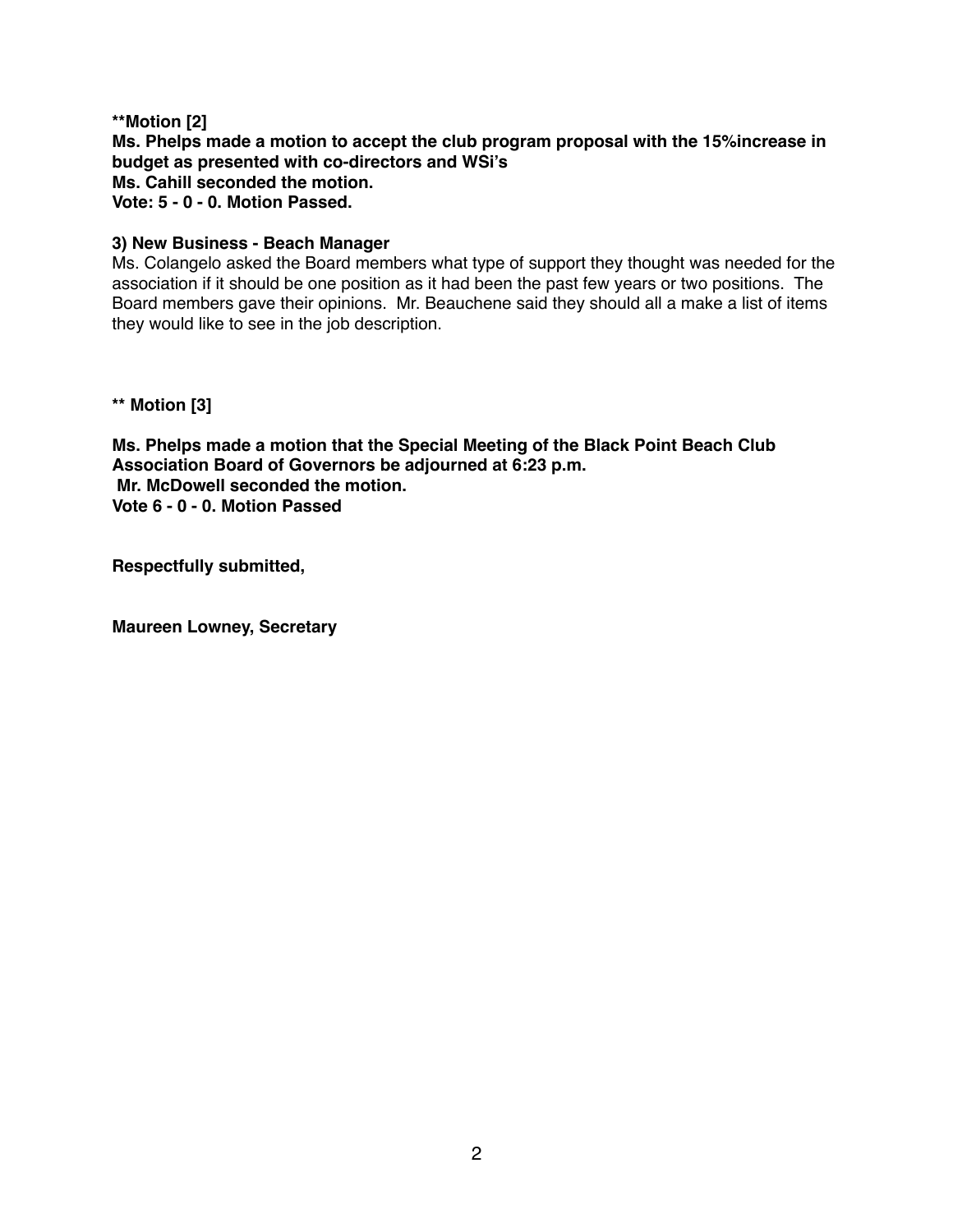**\*\*Motion [2] Ms. Phelps made a motion to accept the club program proposal with the 15%increase in budget as presented with co-directors and WSi's Ms. Cahill seconded the motion.**

**Vote: 5 - 0 - 0. Motion Passed.**

### **3) New Business - Beach Manager**

Ms. Colangelo asked the Board members what type of support they thought was needed for the association if it should be one position as it had been the past few years or two positions. The Board members gave their opinions. Mr. Beauchene said they should all a make a list of items they would like to see in the job description.

**\*\* Motion [3]**

**Ms. Phelps made a motion that the Special Meeting of the Black Point Beach Club Association Board of Governors be adjourned at 6:23 p.m. Mr. McDowell seconded the motion. Vote 6 - 0 - 0. Motion Passed**

**Respectfully submitted,**

**Maureen Lowney, Secretary**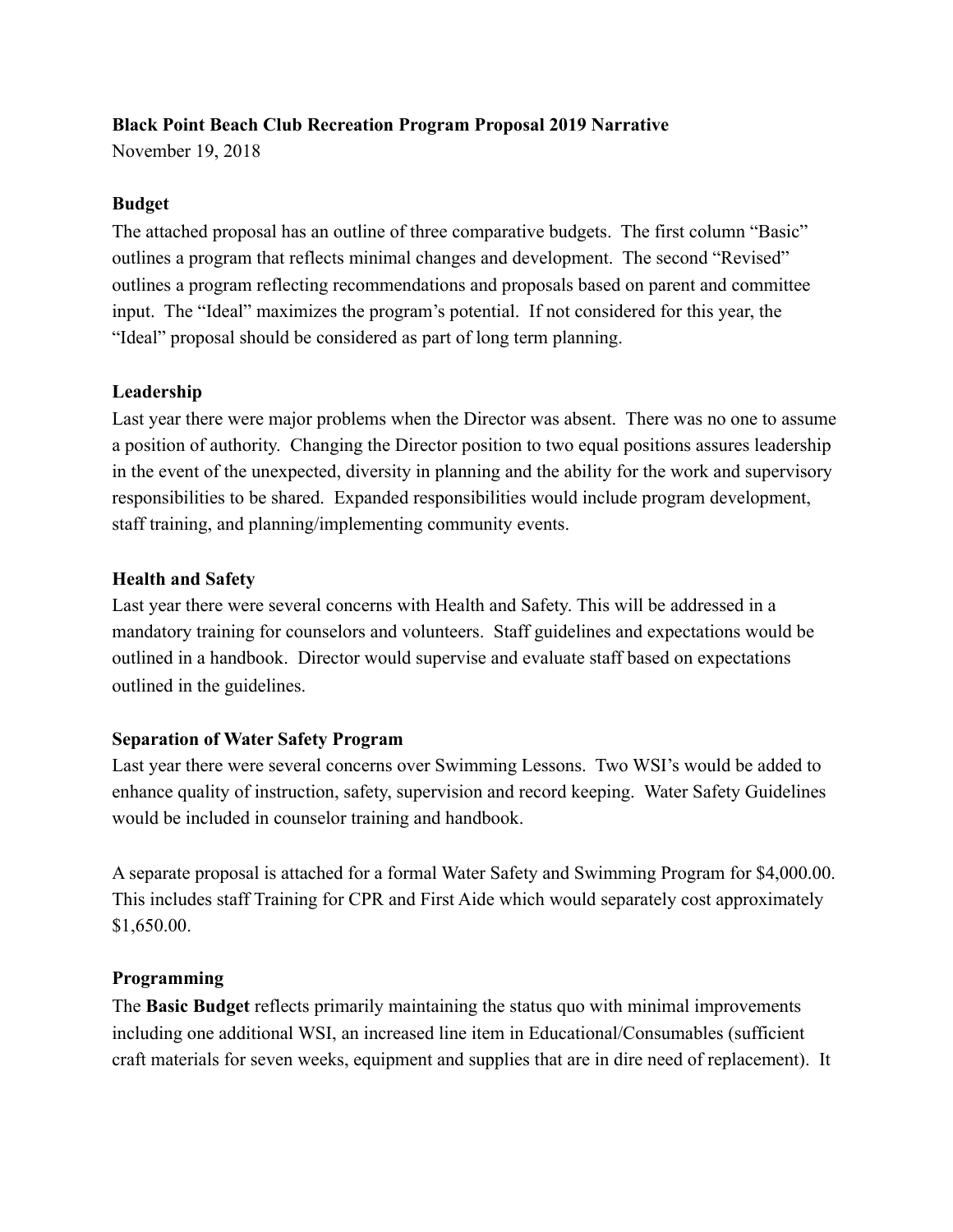# **Black Point Beach Club Recreation Program Proposal 2019 Narrative**

November 19, 2018

# **Budget**

The attached proposal has an outline of three comparative budgets. The first column "Basic" outlines a program that reflects minimal changes and development. The second "Revised" outlines a program reflecting recommendations and proposals based on parent and committee input. The "Ideal" maximizes the program's potential. If not considered for this year, the "Ideal" proposal should be considered as part of long term planning.

# **Leadership**

Last year there were major problems when the Director was absent. There was no one to assume a position of authority. Changing the Director position to two equal positions assures leadership in the event of the unexpected, diversity in planning and the ability for the work and supervisory responsibilities to be shared. Expanded responsibilities would include program development, staff training, and planning/implementing community events.

# **Health and Safety**

Last year there were several concerns with Health and Safety. This will be addressed in a mandatory training for counselors and volunteers. Staff guidelines and expectations would be outlined in a handbook. Director would supervise and evaluate staff based on expectations outlined in the guidelines.

# **Separation of Water Safety Program**

Last year there were several concerns over Swimming Lessons. Two WSI's would be added to enhance quality of instruction, safety, supervision and record keeping. Water Safety Guidelines would be included in counselor training and handbook.

A separate proposal is attached for a formal Water Safety and Swimming Program for \$4,000.00. This includes staff Training for CPR and First Aide which would separately cost approximately \$1,650.00.

### **Programming**

The **Basic Budget** reflects primarily maintaining the status quo with minimal improvements including one additional WSI, an increased line item in Educational/Consumables (sufficient craft materials for seven weeks, equipment and supplies that are in dire need of replacement). It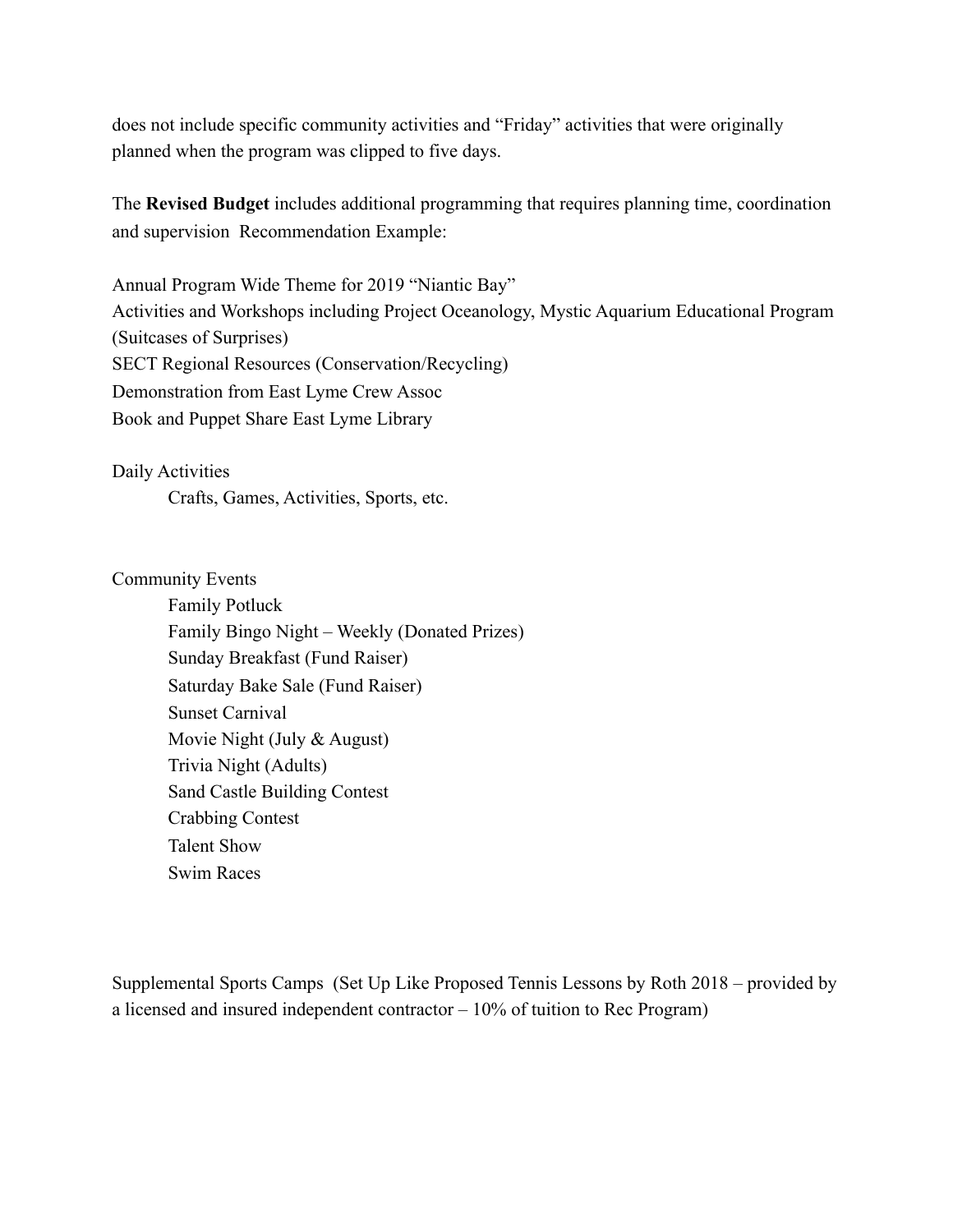does not include specific community activities and "Friday" activities that were originally planned when the program was clipped to five days.

The **Revised Budget** includes additional programming that requires planning time, coordination and supervision Recommendation Example:

Annual Program Wide Theme for 2019 "Niantic Bay" Activities and Workshops including Project Oceanology, Mystic Aquarium Educational Program (Suitcases of Surprises) SECT Regional Resources (Conservation/Recycling) Demonstration from East Lyme Crew Assoc Book and Puppet Share East Lyme Library

Daily Activities

Crafts, Games, Activities, Sports, etc.

Community Events

 Family Potluck Family Bingo Night – Weekly (Donated Prizes) Sunday Breakfast (Fund Raiser) Saturday Bake Sale (Fund Raiser) Sunset Carnival Movie Night (July & August) Trivia Night (Adults) Sand Castle Building Contest Crabbing Contest Talent Show Swim Races

Supplemental Sports Camps (Set Up Like Proposed Tennis Lessons by Roth 2018 – provided by a licensed and insured independent contractor – 10% of tuition to Rec Program)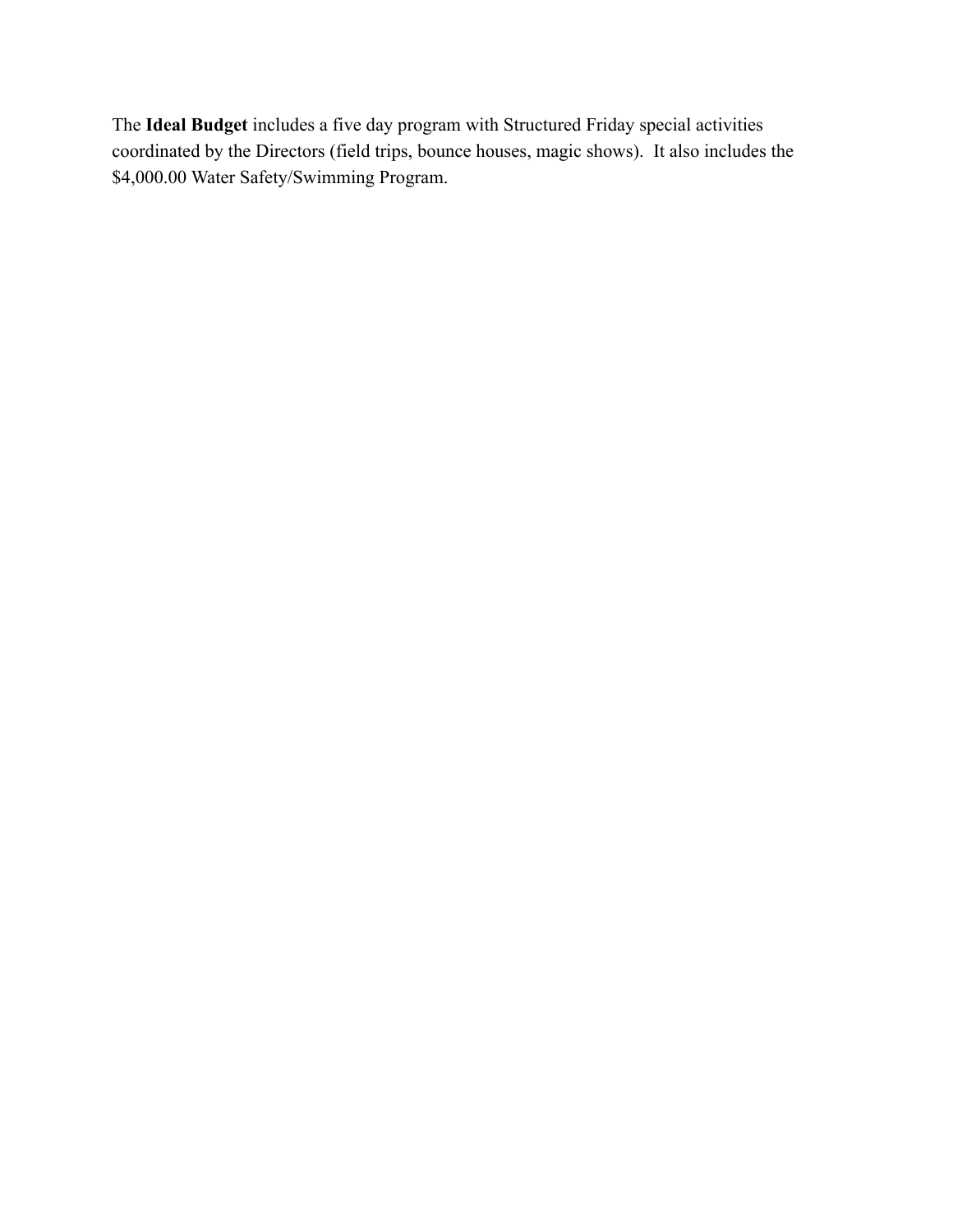The **Ideal Budget** includes a five day program with Structured Friday special activities coordinated by the Directors (field trips, bounce houses, magic shows). It also includes the \$4,000.00 Water Safety/Swimming Program.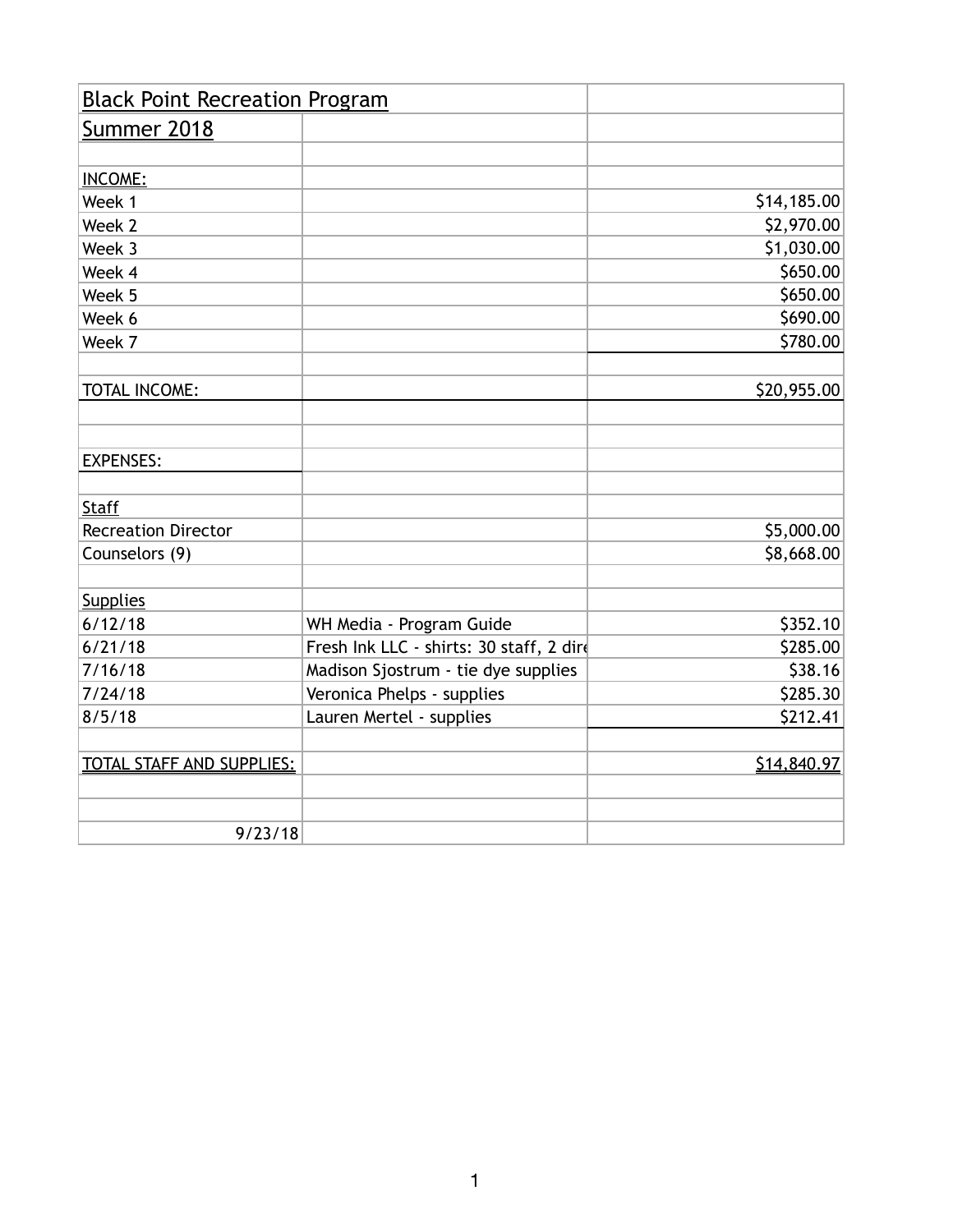| <b>Black Point Recreation Program</b> |                                          |             |
|---------------------------------------|------------------------------------------|-------------|
| <b>Summer 2018</b>                    |                                          |             |
|                                       |                                          |             |
| <b>INCOME:</b>                        |                                          |             |
| Week 1                                |                                          | \$14,185.00 |
| Week 2                                |                                          | \$2,970.00  |
| Week 3                                |                                          | \$1,030.00  |
| Week 4                                |                                          | \$650.00    |
| Week 5                                |                                          | \$650.00    |
| Week 6                                |                                          | \$690.00    |
| Week 7                                |                                          | \$780.00    |
|                                       |                                          |             |
| TOTAL INCOME:                         |                                          | \$20,955.00 |
|                                       |                                          |             |
|                                       |                                          |             |
| <b>EXPENSES:</b>                      |                                          |             |
|                                       |                                          |             |
| <b>Staff</b>                          |                                          |             |
| <b>Recreation Director</b>            |                                          | \$5,000.00  |
| Counselors (9)                        |                                          | \$8,668.00  |
|                                       |                                          |             |
| <b>Supplies</b>                       |                                          |             |
| 6/12/18                               | WH Media - Program Guide                 | \$352.10    |
| 6/21/18                               | Fresh Ink LLC - shirts: 30 staff, 2 dire | \$285.00    |
| 7/16/18                               | Madison Sjostrum - tie dye supplies      | \$38.16     |
| 7/24/18                               | Veronica Phelps - supplies               | \$285.30    |
| 8/5/18                                | Lauren Mertel - supplies                 | \$212.41    |
|                                       |                                          |             |
| <b>TOTAL STAFF AND SUPPLIES:</b>      |                                          | \$14,840.97 |
|                                       |                                          |             |
|                                       |                                          |             |
| 9/23/18                               |                                          |             |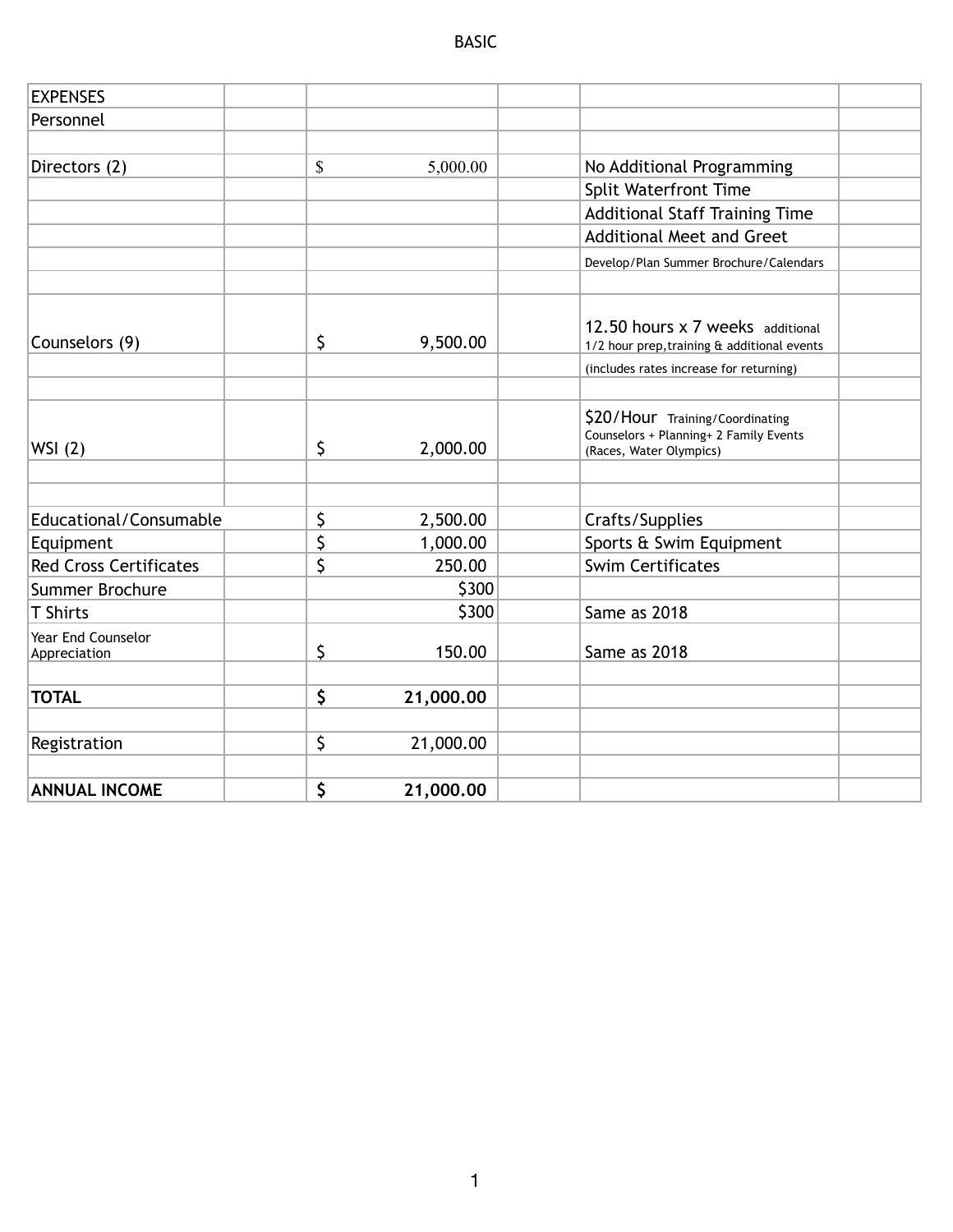| <b>EXPENSES</b>                    |                 |                                                                                                      |
|------------------------------------|-----------------|------------------------------------------------------------------------------------------------------|
| Personnel                          |                 |                                                                                                      |
|                                    |                 |                                                                                                      |
| Directors (2)                      | \$<br>5,000.00  | No Additional Programming                                                                            |
|                                    |                 | <b>Split Waterfront Time</b>                                                                         |
|                                    |                 | <b>Additional Staff Training Time</b>                                                                |
|                                    |                 | <b>Additional Meet and Greet</b>                                                                     |
|                                    |                 | Develop/Plan Summer Brochure/Calendars                                                               |
|                                    |                 | 12.50 hours x 7 weeks additional                                                                     |
| Counselors (9)                     | \$<br>9,500.00  | 1/2 hour prep, training & additional events                                                          |
|                                    |                 | (includes rates increase for returning)                                                              |
| WSI(2)                             | \$<br>2,000.00  | \$20/Hour Training/Coordinating<br>Counselors + Planning+ 2 Family Events<br>(Races, Water Olympics) |
|                                    |                 |                                                                                                      |
| Educational/Consumable             | \$<br>2,500.00  | Crafts/Supplies                                                                                      |
| Equipment                          | \$<br>1,000.00  | Sports & Swim Equipment                                                                              |
| <b>Red Cross Certificates</b>      | \$<br>250.00    | <b>Swim Certificates</b>                                                                             |
| Summer Brochure                    | \$300           |                                                                                                      |
| <b>T Shirts</b>                    | \$300           | Same as 2018                                                                                         |
| Year End Counselor<br>Appreciation | \$<br>150.00    | Same as 2018                                                                                         |
| <b>TOTAL</b>                       | \$<br>21,000.00 |                                                                                                      |
| Registration                       | \$<br>21,000.00 |                                                                                                      |
| <b>ANNUAL INCOME</b>               | \$<br>21,000.00 |                                                                                                      |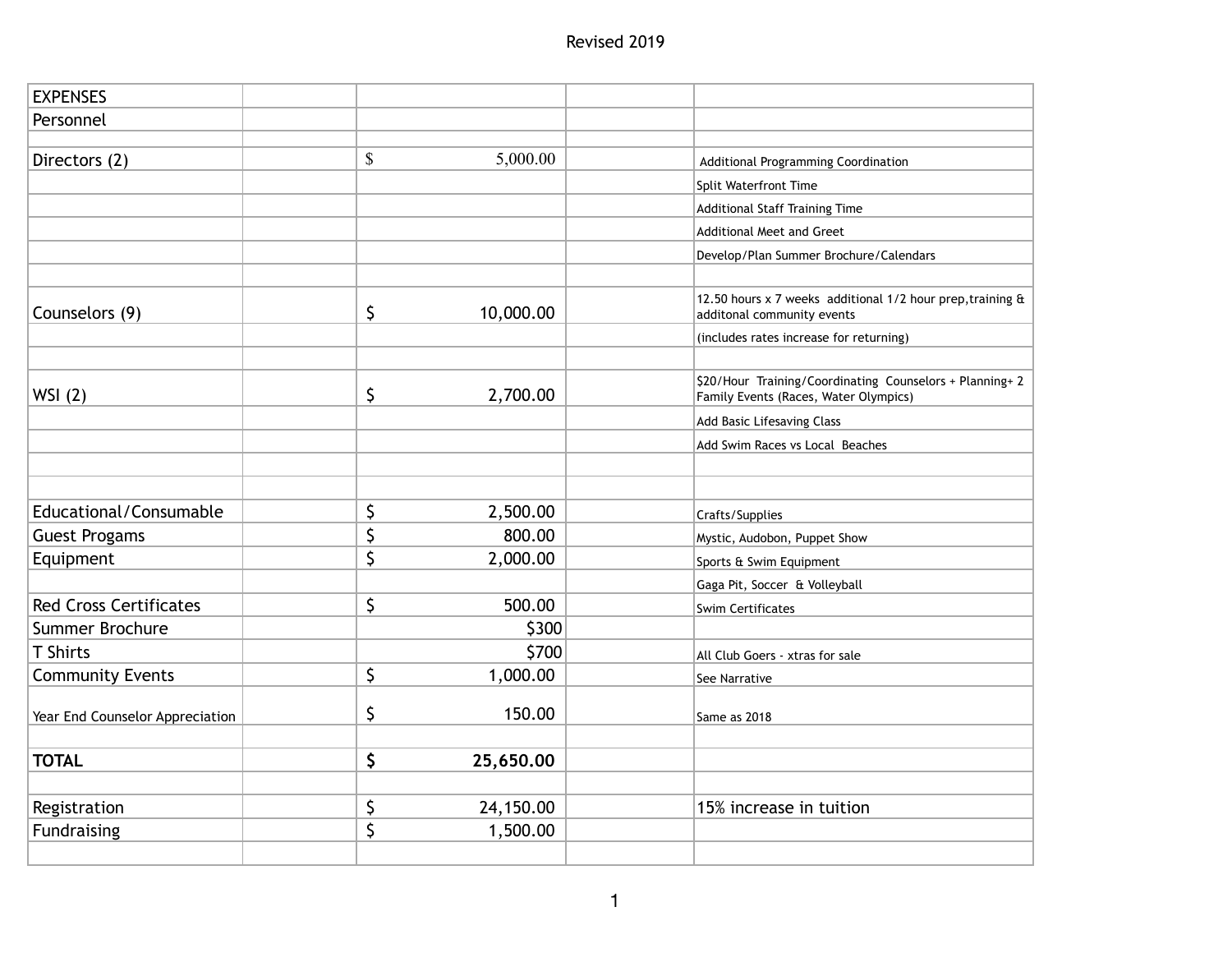| <b>EXPENSES</b>                 |                 |                                                                                                   |
|---------------------------------|-----------------|---------------------------------------------------------------------------------------------------|
| Personnel                       |                 |                                                                                                   |
|                                 |                 |                                                                                                   |
| Directors (2)                   | \$<br>5,000.00  | Additional Programming Coordination                                                               |
|                                 |                 | Split Waterfront Time                                                                             |
|                                 |                 | Additional Staff Training Time                                                                    |
|                                 |                 | <b>Additional Meet and Greet</b>                                                                  |
|                                 |                 | Develop/Plan Summer Brochure/Calendars                                                            |
|                                 |                 |                                                                                                   |
| Counselors (9)                  | \$<br>10,000.00 | 12.50 hours x 7 weeks additional 1/2 hour prep, training &<br>additonal community events          |
|                                 |                 | (includes rates increase for returning)                                                           |
|                                 |                 |                                                                                                   |
| WSI(2)                          | \$<br>2,700.00  | \$20/Hour Training/Coordinating Counselors + Planning+ 2<br>Family Events (Races, Water Olympics) |
|                                 |                 | Add Basic Lifesaving Class                                                                        |
|                                 |                 | Add Swim Races vs Local Beaches                                                                   |
|                                 |                 |                                                                                                   |
|                                 |                 |                                                                                                   |
| Educational/Consumable          | \$<br>2,500.00  | Crafts/Supplies                                                                                   |
| <b>Guest Progams</b>            | \$<br>800.00    | Mystic, Audobon, Puppet Show                                                                      |
| Equipment                       | \$<br>2,000.00  | Sports & Swim Equipment                                                                           |
|                                 |                 | Gaga Pit, Soccer & Volleyball                                                                     |
| <b>Red Cross Certificates</b>   | \$<br>500.00    | Swim Certificates                                                                                 |
| Summer Brochure                 | \$300           |                                                                                                   |
| <b>T</b> Shirts                 | \$700           | All Club Goers - xtras for sale                                                                   |
| <b>Community Events</b>         | \$<br>1,000.00  | See Narrative                                                                                     |
| Year End Counselor Appreciation | \$<br>150.00    | Same as 2018                                                                                      |
|                                 |                 |                                                                                                   |
| <b>TOTAL</b>                    | \$<br>25,650.00 |                                                                                                   |
|                                 |                 |                                                                                                   |
| Registration                    | \$<br>24,150.00 | 15% increase in tuition                                                                           |
| Fundraising                     | \$<br>1,500.00  |                                                                                                   |
|                                 |                 |                                                                                                   |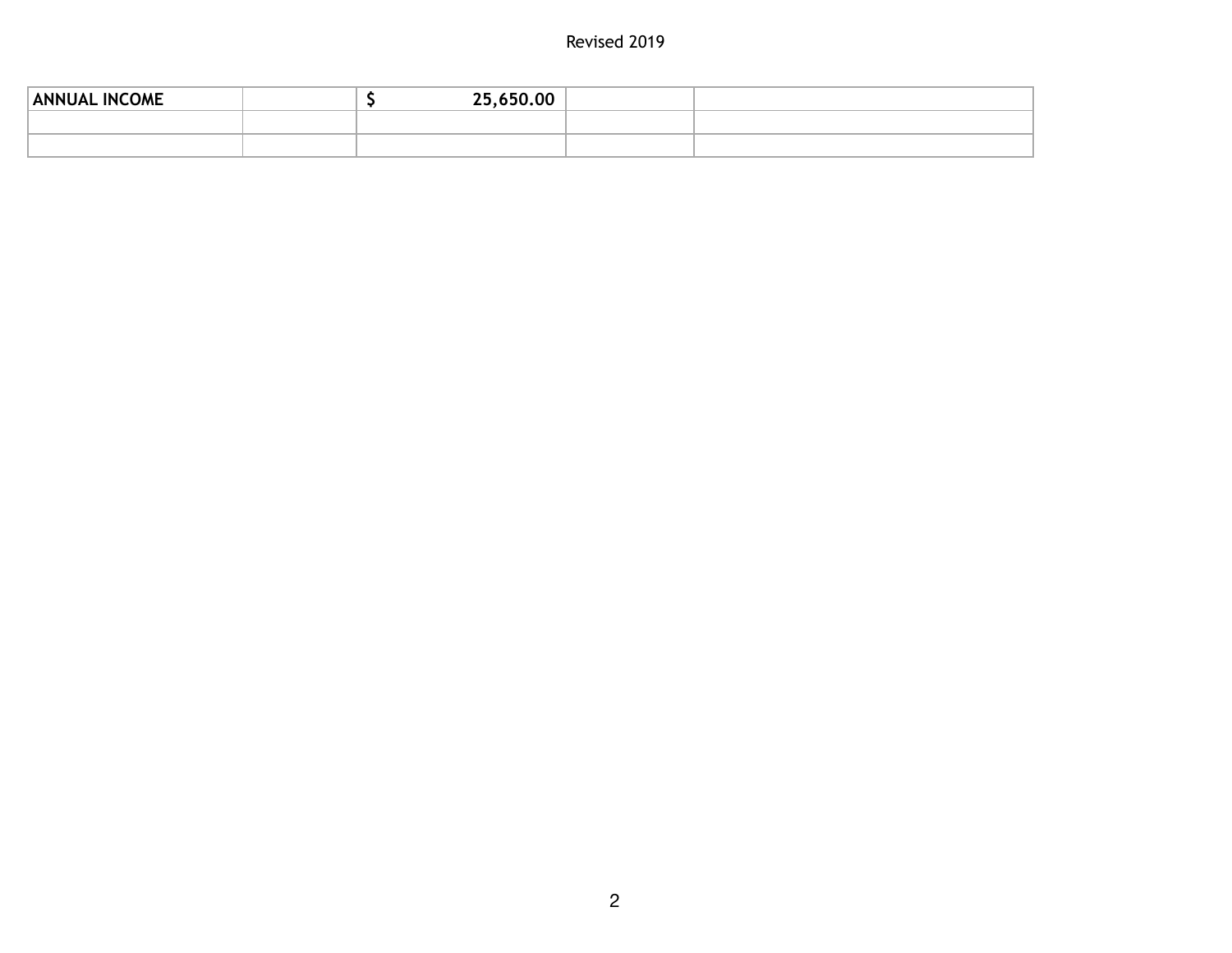# Revised 2019

| <b>ANNUAL INCOME</b> |  | 25,650.00 |  |
|----------------------|--|-----------|--|
|                      |  |           |  |
|                      |  |           |  |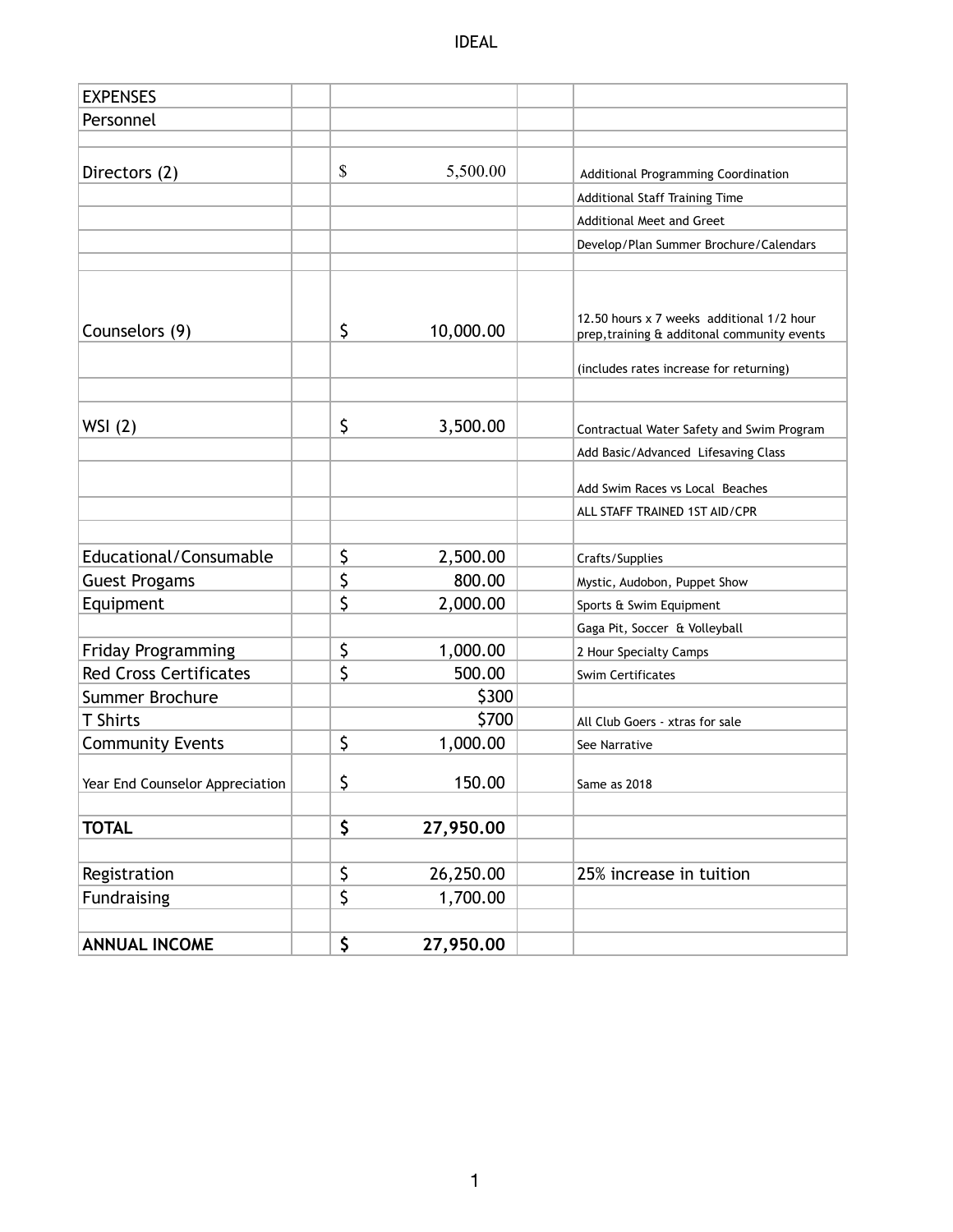IDEAL

| <b>EXPENSES</b>                 |                 |                                                                                          |  |
|---------------------------------|-----------------|------------------------------------------------------------------------------------------|--|
| Personnel                       |                 |                                                                                          |  |
|                                 |                 |                                                                                          |  |
| Directors (2)                   | \$<br>5,500.00  | Additional Programming Coordination                                                      |  |
|                                 |                 | Additional Staff Training Time                                                           |  |
|                                 |                 | <b>Additional Meet and Greet</b>                                                         |  |
|                                 |                 | Develop/Plan Summer Brochure/Calendars                                                   |  |
|                                 |                 |                                                                                          |  |
| Counselors (9)                  | \$<br>10,000.00 | 12.50 hours x 7 weeks additional 1/2 hour<br>prep, training & additonal community events |  |
|                                 |                 | (includes rates increase for returning)                                                  |  |
|                                 |                 |                                                                                          |  |
| WSI(2)                          | \$<br>3,500.00  | Contractual Water Safety and Swim Program                                                |  |
|                                 |                 | Add Basic/Advanced Lifesaving Class                                                      |  |
|                                 |                 | Add Swim Races vs Local Beaches                                                          |  |
|                                 |                 | ALL STAFF TRAINED 1ST AID/CPR                                                            |  |
|                                 |                 |                                                                                          |  |
| Educational/Consumable          | \$<br>2,500.00  | Crafts/Supplies                                                                          |  |
| <b>Guest Progams</b>            | \$<br>800.00    | Mystic, Audobon, Puppet Show                                                             |  |
| Equipment                       | \$<br>2,000.00  | Sports & Swim Equipment                                                                  |  |
|                                 |                 | Gaga Pit, Soccer & Volleyball                                                            |  |
| <b>Friday Programming</b>       | \$<br>1,000.00  | 2 Hour Specialty Camps                                                                   |  |
| <b>Red Cross Certificates</b>   | \$<br>500.00    | <b>Swim Certificates</b>                                                                 |  |
| Summer Brochure                 | \$300           |                                                                                          |  |
| <b>T</b> Shirts                 | \$700           | All Club Goers - xtras for sale                                                          |  |
| <b>Community Events</b>         | \$<br>1,000.00  | See Narrative                                                                            |  |
| Year End Counselor Appreciation | \$<br>150.00    | Same as 2018                                                                             |  |
| <b>TOTAL</b>                    | \$<br>27,950.00 |                                                                                          |  |
|                                 |                 |                                                                                          |  |
| Registration                    | \$<br>26,250.00 | 25% increase in tuition                                                                  |  |
| <b>Fundraising</b>              | \$<br>1,700.00  |                                                                                          |  |
|                                 |                 |                                                                                          |  |
| <b>ANNUAL INCOME</b>            | \$<br>27,950.00 |                                                                                          |  |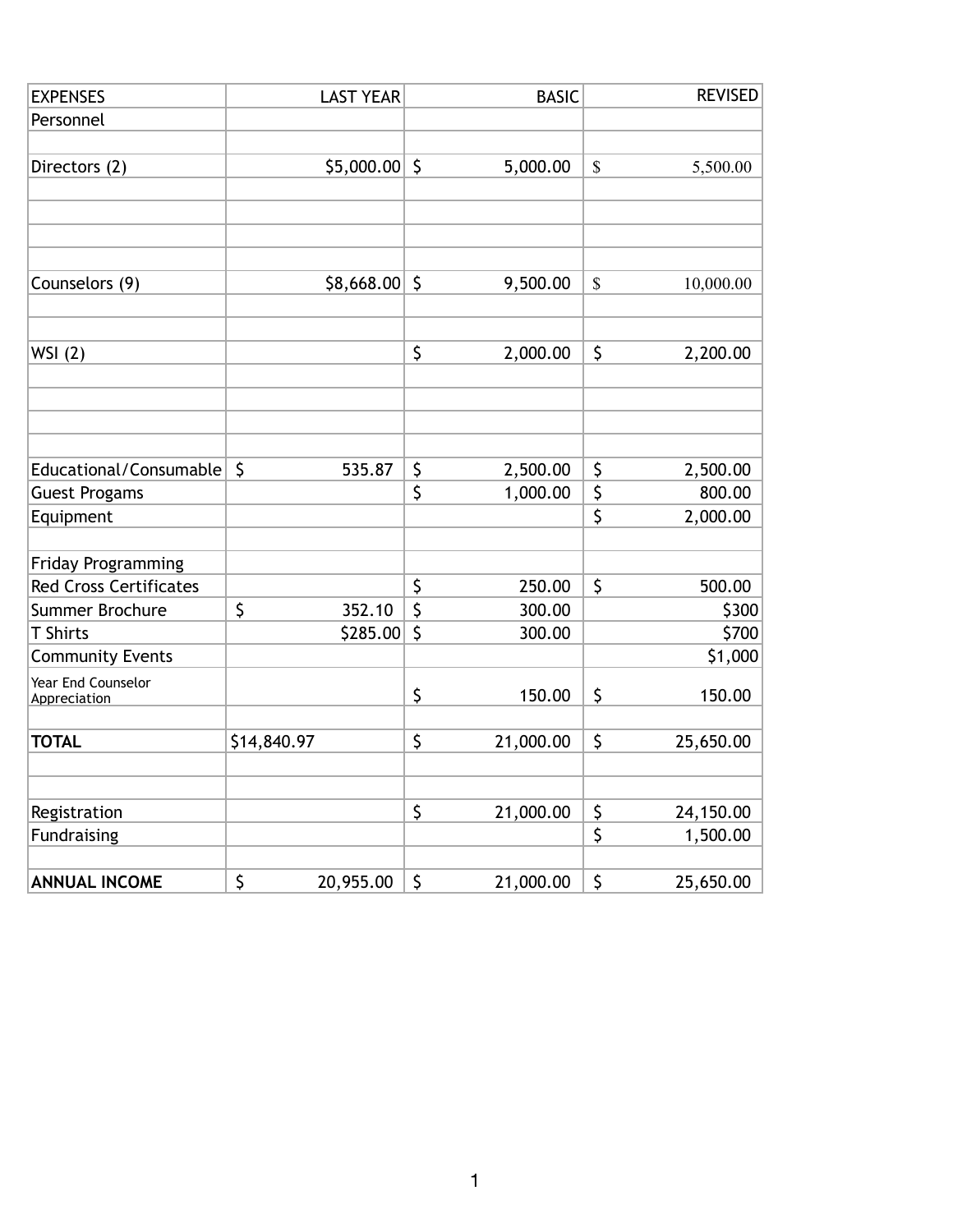| <b>EXPENSES</b>                   | <b>LAST YEAR</b> |              | <b>BASIC</b> |             | <b>REVISED</b> |
|-----------------------------------|------------------|--------------|--------------|-------------|----------------|
| Personnel                         |                  |              |              |             |                |
|                                   |                  |              |              |             |                |
| Directors (2)                     | \$5,000.00       | $\zeta$      | 5,000.00     | $\mathbb S$ | 5,500.00       |
|                                   |                  |              |              |             |                |
|                                   |                  |              |              |             |                |
|                                   |                  |              |              |             |                |
|                                   |                  |              |              |             |                |
| Counselors (9)                    | \$8,668.00\$     |              | 9,500.00     | $\mathbb S$ | 10,000.00      |
|                                   |                  |              |              |             |                |
|                                   |                  |              |              |             |                |
| WSI(2)                            |                  | \$           | 2,000.00     | \$          | 2,200.00       |
|                                   |                  |              |              |             |                |
|                                   |                  |              |              |             |                |
|                                   |                  |              |              |             |                |
| Educational/Consumable            | \$<br>535.87     | \$           | 2,500.00     | \$          | 2,500.00       |
|                                   |                  | \$           | 1,000.00     | \$          | 800.00         |
| <b>Guest Progams</b><br>Equipment |                  |              |              | \$          | 2,000.00       |
|                                   |                  |              |              |             |                |
| Friday Programming                |                  |              |              |             |                |
| <b>Red Cross Certificates</b>     |                  | \$           | 250.00       | \$          | 500.00         |
| Summer Brochure                   | \$<br>352.10     | \$           | 300.00       |             | \$300          |
| <b>T</b> Shirts                   | \$285.00         | $\mathsf{S}$ | 300.00       |             | \$700          |
| <b>Community Events</b>           |                  |              |              |             | \$1,000        |
| Year End Counselor                |                  |              |              |             |                |
| Appreciation                      |                  | \$           | 150.00       | \$          | 150.00         |
|                                   |                  |              |              |             |                |
| <b>TOTAL</b>                      | \$14,840.97      | \$           | 21,000.00    | \$          | 25,650.00      |
|                                   |                  |              |              |             |                |
|                                   |                  |              |              |             |                |
| Registration                      |                  | \$           | 21,000.00    | \$          | 24,150.00      |
| <b>Fundraising</b>                |                  |              |              | \$          | 1,500.00       |
|                                   | \$               |              |              | \$          |                |
| <b>ANNUAL INCOME</b>              | 20,955.00        | \$           | 21,000.00    |             | 25,650.00      |